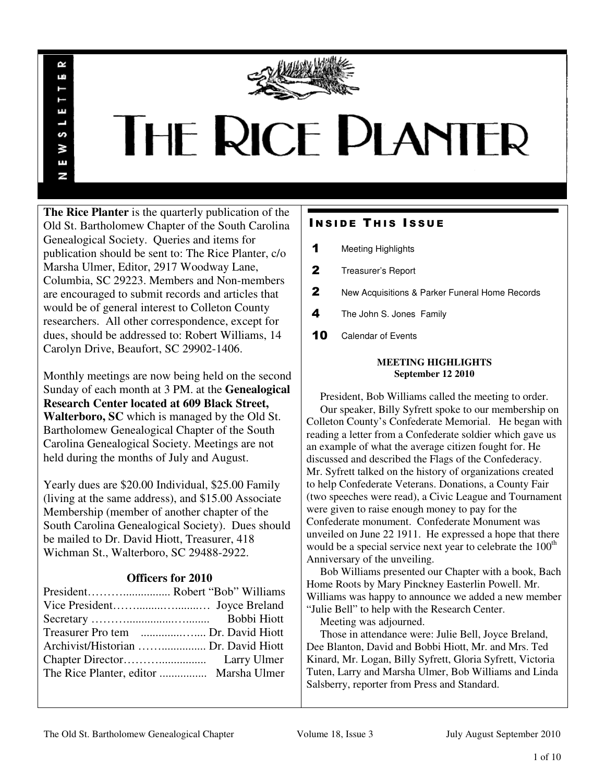

# THE RICE PLANTER

**The Rice Planter** is the quarterly publication of the Old St. Bartholomew Chapter of the South Carolina Genealogical Society. Queries and items for publication should be sent to: The Rice Planter, c/o Marsha Ulmer, Editor, 2917 Woodway Lane, Columbia, SC 29223. Members and Non-members are encouraged to submit records and articles that would be of general interest to Colleton County researchers. All other correspondence, except for dues, should be addressed to: Robert Williams, 14 Carolyn Drive, Beaufort, SC 29902-1406.

R uń

ш

S š E N

Monthly meetings are now being held on the second Sunday of each month at 3 PM. at the **Genealogical Research Center located at 609 Black Street, Walterboro, SC** which is managed by the Old St. Bartholomew Genealogical Chapter of the South Carolina Genealogical Society. Meetings are not held during the months of July and August.

Yearly dues are \$20.00 Individual, \$25.00 Family (living at the same address), and \$15.00 Associate Membership (member of another chapter of the South Carolina Genealogical Society). Dues should be mailed to Dr. David Hiott, Treasurer, 418 Wichman St., Walterboro, SC 29488-2922.

## **Officers for 2010**

| Archivist/Historian  Dr. David Hiott |  |
|--------------------------------------|--|
|                                      |  |
|                                      |  |
|                                      |  |

# **INSIDE THIS ISSUE**

- 1 Meeting Highlights
- 2 Treasurer's Report
- 2 New Acquisitions & Parker Funeral Home Records
- 4 The John S. Jones Family
- 10 Calendar of Events

## **MEETING HIGHLIGHTS September 12 2010**

 President, Bob Williams called the meeting to order. Our speaker, Billy Syfrett spoke to our membership on Colleton County's Confederate Memorial. He began with reading a letter from a Confederate soldier which gave us an example of what the average citizen fought for. He discussed and described the Flags of the Confederacy. Mr. Syfrett talked on the history of organizations created to help Confederate Veterans. Donations, a County Fair (two speeches were read), a Civic League and Tournament were given to raise enough money to pay for the Confederate monument. Confederate Monument was unveiled on June 22 1911. He expressed a hope that there would be a special service next year to celebrate the 100<sup>th</sup> Anniversary of the unveiling.

 Bob Williams presented our Chapter with a book, Bach Home Roots by Mary Pinckney Easterlin Powell. Mr. Williams was happy to announce we added a new member "Julie Bell" to help with the Research Center.

Meeting was adjourned.

 Those in attendance were: Julie Bell, Joyce Breland, Dee Blanton, David and Bobbi Hiott, Mr. and Mrs. Ted Kinard, Mr. Logan, Billy Syfrett, Gloria Syfrett, Victoria Tuten, Larry and Marsha Ulmer, Bob Williams and Linda Salsberry, reporter from Press and Standard.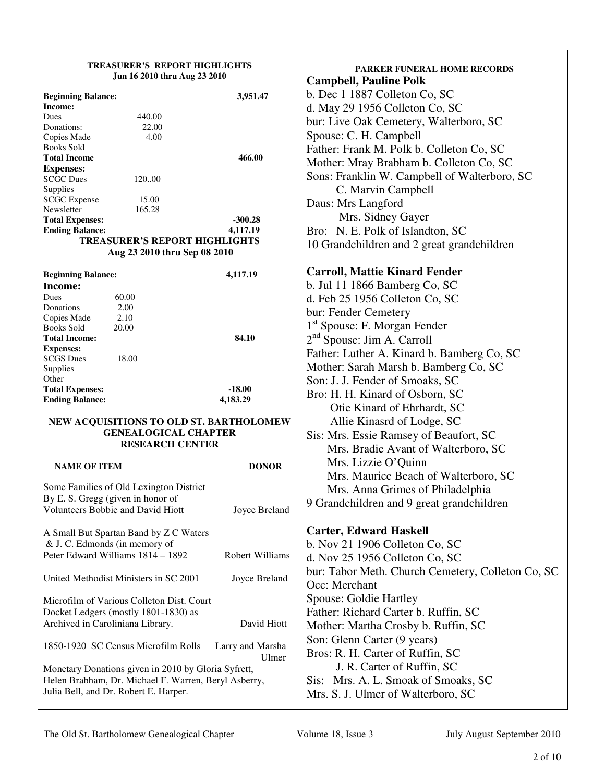## **TREASURER'S REPORT HIGHLIGHTS Jun 16 2010 thru Aug 23 2010**

| <b>Beginning Balance:</b> |                                      | 3,951.47 |
|---------------------------|--------------------------------------|----------|
| Income:                   |                                      |          |
| Dues                      | 440.00                               |          |
| Donations:                | 22.00                                |          |
| Copies Made               | 4.00                                 |          |
| <b>Books Sold</b>         |                                      |          |
| <b>Total Income</b>       |                                      | 466.00   |
| <b>Expenses:</b>          |                                      |          |
| <b>SCGC</b> Dues          | 120.00                               |          |
| Supplies                  |                                      |          |
| <b>SCGC</b> Expense       | 15.00                                |          |
| Newsletter                | 165.28                               |          |
| <b>Total Expenses:</b>    |                                      | -300.28  |
| <b>Ending Balance:</b>    |                                      | 4,117.19 |
|                           | <b>TREASURER'S REPORT HIGHLIGHTS</b> |          |
|                           | Aug 23 2010 thru Sep 08 2010         |          |
|                           |                                      |          |

|       | 4,117.19                  |
|-------|---------------------------|
|       |                           |
| 60.00 |                           |
| 2.00  |                           |
| 2.10  |                           |
| 20.00 |                           |
|       | 84.10                     |
|       |                           |
| 18.00 |                           |
|       |                           |
|       |                           |
|       | $-18.00$                  |
|       | 4,183.29                  |
|       | <b>Beginning Balance:</b> |

## **NEW ACQUISITIONS TO OLD ST. BARTHOLOMEW GENEALOGICAL CHAPTER RESEARCH CENTER**

**NAME OF ITEM DONOR** Some Families of Old Lexington District By E. S. Gregg (given in honor of Volunteers Bobbie and David Hiott Joyce Breland A Small But Spartan Band by Z C Waters & J. C. Edmonds (in memory of Peter Edward Williams 1814 – 1892 Robert Williams United Methodist Ministers in SC 2001 Joyce Breland Microfilm of Various Colleton Dist. Court Docket Ledgers (mostly 1801-1830) as Archived in Caroliniana Library. David Hiott 1850-1920 SC Census Microfilm Rolls Larry and Marsha Ulmer Monetary Donations given in 2010 by Gloria Syfrett, Helen Brabham, Dr. Michael F. Warren, Beryl Asberry, Julia Bell, and Dr. Robert E. Harper.

**PARKER FUNERAL HOME RECORDS Campbell, Pauline Polk**  b. Dec 1 1887 Colleton Co, SC d. May 29 1956 Colleton Co, SC bur: Live Oak Cemetery, Walterboro, SC Spouse: C. H. Campbell Father: Frank M. Polk b. Colleton Co, SC Mother: Mray Brabham b. Colleton Co, SC Sons: Franklin W. Campbell of Walterboro, SC C. Marvin Campbell Daus: Mrs Langford Mrs. Sidney Gayer Bro: N. E. Polk of Islandton, SC 10 Grandchildren and 2 great grandchildren **Carroll, Mattie Kinard Fender**  b. Jul 11 1866 Bamberg Co, SC d. Feb 25 1956 Colleton Co, SC bur: Fender Cemetery 1 st Spouse: F. Morgan Fender 2<sup>nd</sup> Spouse: Jim A. Carroll Father: Luther A. Kinard b. Bamberg Co, SC Mother: Sarah Marsh b. Bamberg Co, SC Son: J. J. Fender of Smoaks, SC Bro: H. H. Kinard of Osborn, SC Otie Kinard of Ehrhardt, SC Allie Kinasrd of Lodge, SC Sis: Mrs. Essie Ramsey of Beaufort, SC Mrs. Bradie Avant of Walterboro, SC Mrs. Lizzie O'Quinn Mrs. Maurice Beach of Walterboro, SC Mrs. Anna Grimes of Philadelphia 9 Grandchildren and 9 great grandchildren **Carter, Edward Haskell**  b. Nov 21 1906 Colleton Co, SC d. Nov 25 1956 Colleton Co, SC bur: Tabor Meth. Church Cemetery, Colleton Co, SC Occ: Merchant Spouse: Goldie Hartley Father: Richard Carter b. Ruffin, SC Mother: Martha Crosby b. Ruffin, SC

Son: Glenn Carter (9 years) Bros: R. H. Carter of Ruffin, SC

 J. R. Carter of Ruffin, SC Sis: Mrs. A. L. Smoak of Smoaks, SC Mrs. S. J. Ulmer of Walterboro, SC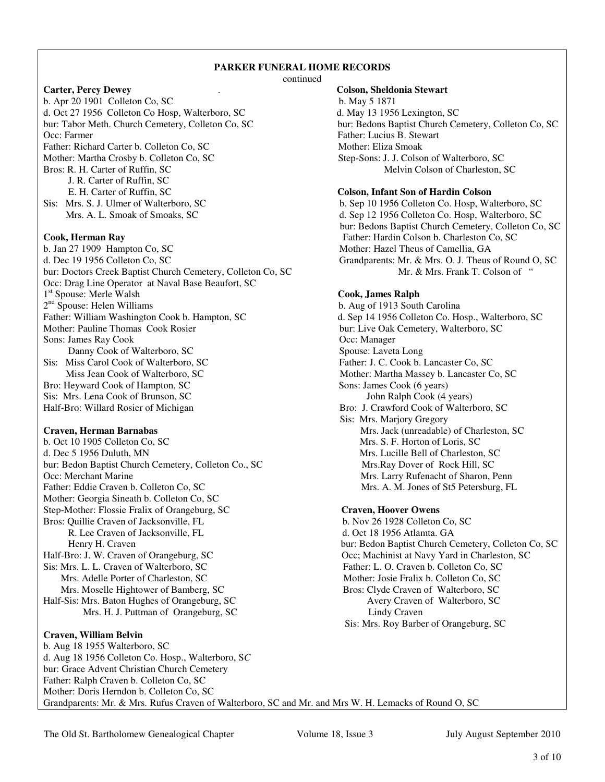## **PARKER FUNERAL HOME RECORDS**

continued

**Carter, Percy Dewey** . **Colson, Sheldonia Stewart** b. Apr 20 1901 Colleton Co, SC b. May 5 1871 d. Oct 27 1956 Colleton Co Hosp, Walterboro, SC d. May 13 1956 Lexington, SC bur: Tabor Meth. Church Cemetery, Colleton Co, SC bur: Bedons Baptist Church Cemetery, Colleton Co, SC Occ: Farmer Father: Lucius B. Stewart Father: Richard Carter b. Colleton Co, SC Mother: Eliza Smoak Mother: Martha Crosby b. Colleton Co, SC Step-Sons: J. J. Colson of Walterboro, SC Bros: R. H. Carter of Ruffin, SC Melvin Colson of Charleston, SC J. R. Carter of Ruffin, SC E. H. Carter of Ruffin, SC **Colson, Infant Son of Hardin Colson**  Sis: Mrs. S. J. Ulmer of Walterboro, SC b. Sep 10 1956 Colleton Co. Hosp, Walterboro, SC Mrs. A. L. Smoak of Smoaks, SC d. Sep 12 1956 Colleton Co. Hosp, Walterboro, SC **Cook, Herman Ray Father: Hardin Colson b. Charleston Co, SC** b. Jan 27 1909 Hampton Co, SC Mother: Hazel Theus of Camellia, GA d. Dec 19 1956 Colleton Co, SC Grandparents: Mr. & Mrs. O. J. Theus of Round O, SC bur: Doctors Creek Baptist Church Cemetery, Colleton Co, SC Mr. & Mrs. Frank T. Colson of " Occ: Drag Line Operator at Naval Base Beaufort, SC 1<sup>st</sup> Spouse: Merle Walsh **Cook, James Ralph**  $2<sup>nd</sup>$  Spouse: Helen Williams<br>Father: William Washington Cook b. Hampton, SC Mother: Pauline Thomas Cook Rosier bur: Live Oak Cemetery, Walterboro, SC Sons: James Ray Cook **Occ: Manager** Occ: Manager Danny Cook of Walterboro, SC Spouse: Laveta Long Sis: Miss Carol Cook of Walterboro, SC Father: J. C. Cook b. Lancaster Co, SC **Miss Jean Cook of Walterboro, SC <b>Mother: Martha Massey b. Lancaster Co, SC Mother: Martha Massey b. Lancaster Co, SC** Bro: Heyward Cook of Hampton, SC Sons: James Cook (6 years) Sis: Mrs. Lena Cook of Brunson, SC John Ralph Cook (4 years)

b. Oct 10 1905 Colleton Co, SC Mrs. S. F. Horton of Loris, SC d. Dec 5 1956 Duluth, MN Mrs. Lucille Bell of Charleston, SC bur: Bedon Baptist Church Cemetery, Colleton Co., SC Mrs.Ray Dover of Rock Hill, SC Occ: Merchant Marine Mrs. Larry Rufenacht of Sharon, Penn Father: Eddie Craven b. Colleton Co, SC Mrs. A. M. Jones of St5 Petersburg, FL Mother: Georgia Sineath b. Colleton Co, SC Step-Mother: Flossie Fralix of Orangeburg, SC<br>
Bros: Quillie Craven of Jacksonville, FL<br> **Craven, Hoover Owens**<br> **Craven, Hoover Owens**<br> **Craven, Hoover Owens** Bros: Quillie Craven of Jacksonville, FL R. Lee Craven of Jacksonville, FL d. Oct 18 1956 Atlamta. GA Half-Bro: J. W. Craven of Orangeburg, SC Occ; Machinist at Navy Yard in Charleston, SC Sis: Mrs. L. L. Craven of Walterboro, SC Father: L. O. Craven b. Colleton Co, SC Mrs. Adelle Porter of Charleston, SC Mother: Josie Fralix b. Colleton Co, SC Mrs. Moselle Hightower of Bamberg, SC Bros: Clyde Craven of Walterboro, SC Half-Sis: Mrs. Baton Hughes of Orangeburg, SC Avery Craven of Walterboro, SC Mrs. H. J. Puttman of Orangeburg, SC Lindy Craven

## **Craven, William Belvin**

bur: Bedons Baptist Church Cemetery, Colleton Co, SC

b. Aug of 1913 South Carolina d. Sep 14 1956 Colleton Co. Hosp., Walterboro, SC Half-Bro: Willard Rosier of Michigan Bro: J. Crawford Cook of Walterboro, SC Sis: Mrs. Marjory Gregory **Craven, Herman Barnabas** Mrs. Jack (unreadable) of Charleston, SC

 Henry H. Craven bur: Bedon Baptist Church Cemetery, Colleton Co, SC Sis: Mrs. Roy Barber of Orangeburg, SC

b. Aug 18 1955 Walterboro, SC d. Aug 18 1956 Colleton Co. Hosp., Walterboro, S*C*  bur: Grace Advent Christian Church Cemetery Father: Ralph Craven b. Colleton Co, SC Mother: Doris Herndon b. Colleton Co, SC Grandparents: Mr. & Mrs. Rufus Craven of Walterboro, SC and Mr. and Mrs W. H. Lemacks of Round O, SC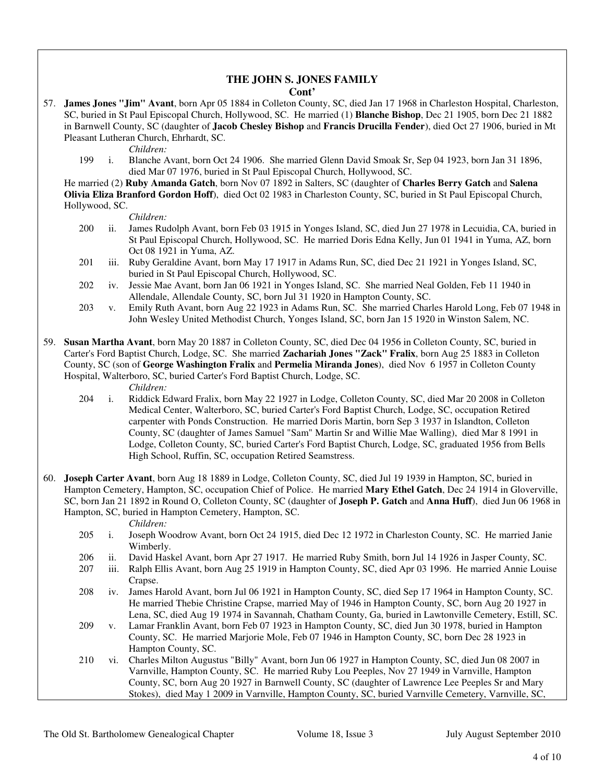## **THE JOHN S. JONES FAMILY Cont'**

57. **James Jones "Jim" Avant**, born Apr 05 1884 in Colleton County, SC, died Jan 17 1968 in Charleston Hospital, Charleston, SC, buried in St Paul Episcopal Church, Hollywood, SC. He married (1) **Blanche Bishop**, Dec 21 1905, born Dec 21 1882 in Barnwell County, SC (daughter of **Jacob Chesley Bishop** and **Francis Drucilla Fender**), died Oct 27 1906, buried in Mt Pleasant Lutheran Church, Ehrhardt, SC.

*Children:*

 199 i. Blanche Avant, born Oct 24 1906. She married Glenn David Smoak Sr, Sep 04 1923, born Jan 31 1896, died Mar 07 1976, buried in St Paul Episcopal Church, Hollywood, SC.

 He married (2) **Ruby Amanda Gatch**, born Nov 07 1892 in Salters, SC (daughter of **Charles Berry Gatch** and **Salena Olivia Eliza Branford Gordon Hoff**), died Oct 02 1983 in Charleston County, SC, buried in St Paul Episcopal Church, Hollywood, SC.

*Children:*

- 200 ii. James Rudolph Avant, born Feb 03 1915 in Yonges Island, SC, died Jun 27 1978 in Lecuidia, CA, buried in St Paul Episcopal Church, Hollywood, SC. He married Doris Edna Kelly, Jun 01 1941 in Yuma, AZ, born Oct 08 1921 in Yuma, AZ.
- 201 iii. Ruby Geraldine Avant, born May 17 1917 in Adams Run, SC, died Dec 21 1921 in Yonges Island, SC, buried in St Paul Episcopal Church, Hollywood, SC.
- 202 iv. Jessie Mae Avant, born Jan 06 1921 in Yonges Island, SC. She married Neal Golden, Feb 11 1940 in Allendale, Allendale County, SC, born Jul 31 1920 in Hampton County, SC.
- 203 v. Emily Ruth Avant, born Aug 22 1923 in Adams Run, SC. She married Charles Harold Long, Feb 07 1948 in John Wesley United Methodist Church, Yonges Island, SC, born Jan 15 1920 in Winston Salem, NC.
- 59. **Susan Martha Avant**, born May 20 1887 in Colleton County, SC, died Dec 04 1956 in Colleton County, SC, buried in Carter's Ford Baptist Church, Lodge, SC. She married **Zachariah Jones "Zack" Fralix**, born Aug 25 1883 in Colleton County, SC (son of **George Washington Fralix** and **Permelia Miranda Jones**), died Nov 6 1957 in Colleton County Hospital, Walterboro, SC, buried Carter's Ford Baptist Church, Lodge, SC.

*Children:*

- 204 i. Riddick Edward Fralix, born May 22 1927 in Lodge, Colleton County, SC, died Mar 20 2008 in Colleton Medical Center, Walterboro, SC, buried Carter's Ford Baptist Church, Lodge, SC, occupation Retired carpenter with Ponds Construction. He married Doris Martin, born Sep 3 1937 in Islandton, Colleton County, SC (daughter of James Samuel "Sam" Martin Sr and Willie Mae Walling), died Mar 8 1991 in Lodge, Colleton County, SC, buried Carter's Ford Baptist Church, Lodge, SC, graduated 1956 from Bells High School, Ruffin, SC, occupation Retired Seamstress.
- 60. **Joseph Carter Avant**, born Aug 18 1889 in Lodge, Colleton County, SC, died Jul 19 1939 in Hampton, SC, buried in Hampton Cemetery, Hampton, SC, occupation Chief of Police. He married **Mary Ethel Gatch**, Dec 24 1914 in Gloverville, SC, born Jan 21 1892 in Round O, Colleton County, SC (daughter of **Joseph P. Gatch** and **Anna Huff**), died Jun 06 1968 in Hampton, SC, buried in Hampton Cemetery, Hampton, SC.

*Children:*

- 205 i. Joseph Woodrow Avant, born Oct 24 1915, died Dec 12 1972 in Charleston County, SC. He married Janie Wimberly.
- 206 ii. David Haskel Avant, born Apr 27 1917. He married Ruby Smith, born Jul 14 1926 in Jasper County, SC.
- 207 iii. Ralph Ellis Avant, born Aug 25 1919 in Hampton County, SC, died Apr 03 1996. He married Annie Louise Crapse.
- 208 iv. James Harold Avant, born Jul 06 1921 in Hampton County, SC, died Sep 17 1964 in Hampton County, SC. He married Thebie Christine Crapse, married May of 1946 in Hampton County, SC, born Aug 20 1927 in Lena, SC, died Aug 19 1974 in Savannah, Chatham County, Ga, buried in Lawtonville Cemetery, Estill, SC.
- 209 v. Lamar Franklin Avant, born Feb 07 1923 in Hampton County, SC, died Jun 30 1978, buried in Hampton County, SC. He married Marjorie Mole, Feb 07 1946 in Hampton County, SC, born Dec 28 1923 in Hampton County, SC.
- 210 vi. Charles Milton Augustus "Billy" Avant, born Jun 06 1927 in Hampton County, SC, died Jun 08 2007 in Varnville, Hampton County, SC. He married Ruby Lou Peeples, Nov 27 1949 in Varnville, Hampton County, SC, born Aug 20 1927 in Barnwell County, SC (daughter of Lawrence Lee Peeples Sr and Mary Stokes), died May 1 2009 in Varnville, Hampton County, SC, buried Varnville Cemetery, Varnville, SC,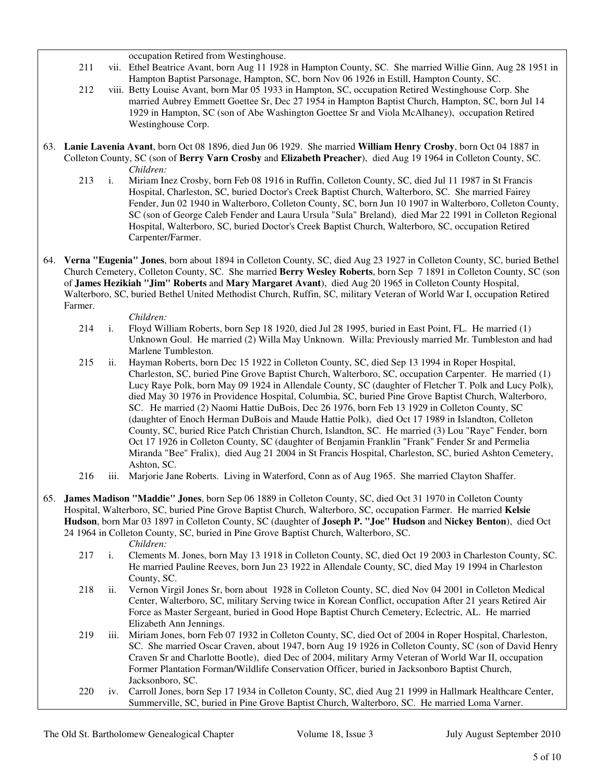occupation Retired from Westinghouse.

- 211 vii. Ethel Beatrice Avant, born Aug 11 1928 in Hampton County, SC. She married Willie Ginn, Aug 28 1951 in Hampton Baptist Parsonage, Hampton, SC, born Nov 06 1926 in Estill, Hampton County, SC.
- 212 viii. Betty Louise Avant, born Mar 05 1933 in Hampton, SC, occupation Retired Westinghouse Corp. She married Aubrey Emmett Goettee Sr, Dec 27 1954 in Hampton Baptist Church, Hampton, SC, born Jul 14 1929 in Hampton, SC (son of Abe Washington Goettee Sr and Viola McAlhaney), occupation Retired Westinghouse Corp.
- 63. **Lanie Lavenia Avant**, born Oct 08 1896, died Jun 06 1929. She married **William Henry Crosby**, born Oct 04 1887 in Colleton County, SC (son of **Berry Varn Crosby** and **Elizabeth Preacher**), died Aug 19 1964 in Colleton County, SC. *Children:*
	- 213 i. Miriam Inez Crosby, born Feb 08 1916 in Ruffin, Colleton County, SC, died Jul 11 1987 in St Francis Hospital, Charleston, SC, buried Doctor's Creek Baptist Church, Walterboro, SC. She married Fairey Fender, Jun 02 1940 in Walterboro, Colleton County, SC, born Jun 10 1907 in Walterboro, Colleton County, SC (son of George Caleb Fender and Laura Ursula "Sula" Breland), died Mar 22 1991 in Colleton Regional Hospital, Walterboro, SC, buried Doctor's Creek Baptist Church, Walterboro, SC, occupation Retired Carpenter/Farmer.
- 64. **Verna "Eugenia" Jones**, born about 1894 in Colleton County, SC, died Aug 23 1927 in Colleton County, SC, buried Bethel Church Cemetery, Colleton County, SC. She married **Berry Wesley Roberts**, born Sep 7 1891 in Colleton County, SC (son of **James Hezikiah "Jim" Roberts** and **Mary Margaret Avant**), died Aug 20 1965 in Colleton County Hospital, Walterboro, SC, buried Bethel United Methodist Church, Ruffin, SC, military Veteran of World War I, occupation Retired Farmer.

*Children:*

- 214 i. Floyd William Roberts, born Sep 18 1920, died Jul 28 1995, buried in East Point, FL. He married (1) Unknown Goul. He married (2) Willa May Unknown. Willa: Previously married Mr. Tumbleston and had Marlene Tumbleston.
- 215 ii. Hayman Roberts, born Dec 15 1922 in Colleton County, SC, died Sep 13 1994 in Roper Hospital, Charleston, SC, buried Pine Grove Baptist Church, Walterboro, SC, occupation Carpenter. He married (1) Lucy Raye Polk, born May 09 1924 in Allendale County, SC (daughter of Fletcher T. Polk and Lucy Polk), died May 30 1976 in Providence Hospital, Columbia, SC, buried Pine Grove Baptist Church, Walterboro, SC. He married (2) Naomi Hattie DuBois, Dec 26 1976, born Feb 13 1929 in Colleton County, SC (daughter of Enoch Herman DuBois and Maude Hattie Polk), died Oct 17 1989 in Islandton, Colleton County, SC, buried Rice Patch Christian Church, Islandton, SC. He married (3) Lou "Raye" Fender, born Oct 17 1926 in Colleton County, SC (daughter of Benjamin Franklin "Frank" Fender Sr and Permelia Miranda "Bee" Fralix), died Aug 21 2004 in St Francis Hospital, Charleston, SC, buried Ashton Cemetery, Ashton, SC.
- 216 iii. Marjorie Jane Roberts. Living in Waterford, Conn as of Aug 1965. She married Clayton Shaffer.
- 65. **James Madison "Maddie" Jones**, born Sep 06 1889 in Colleton County, SC, died Oct 31 1970 in Colleton County Hospital, Walterboro, SC, buried Pine Grove Baptist Church, Walterboro, SC, occupation Farmer. He married **Kelsie Hudson**, born Mar 03 1897 in Colleton County, SC (daughter of **Joseph P. "Joe" Hudson** and **Nickey Benton**), died Oct 24 1964 in Colleton County, SC, buried in Pine Grove Baptist Church, Walterboro, SC.

*Children:*

- 217 i. Clements M. Jones, born May 13 1918 in Colleton County, SC, died Oct 19 2003 in Charleston County, SC. He married Pauline Reeves, born Jun 23 1922 in Allendale County, SC, died May 19 1994 in Charleston County, SC.
- 218 ii. Vernon Virgil Jones Sr, born about 1928 in Colleton County, SC, died Nov 04 2001 in Colleton Medical Center, Walterboro, SC, military Serving twice in Korean Conflict, occupation After 21 years Retired Air Force as Master Sergeant, buried in Good Hope Baptist Church Cemetery, Eclectric, AL. He married Elizabeth Ann Jennings.
- 219 iii. Miriam Jones, born Feb 07 1932 in Colleton County, SC, died Oct of 2004 in Roper Hospital, Charleston, SC. She married Oscar Craven, about 1947, born Aug 19 1926 in Colleton County, SC (son of David Henry Craven Sr and Charlotte Bootle), died Dec of 2004, military Army Veteran of World War II, occupation Former Plantation Forman/Wildlife Conservation Officer, buried in Jacksonboro Baptist Church, Jacksonboro, SC.
- 220 iv. Carroll Jones, born Sep 17 1934 in Colleton County, SC, died Aug 21 1999 in Hallmark Healthcare Center, Summerville, SC, buried in Pine Grove Baptist Church, Walterboro, SC. He married Loma Varner.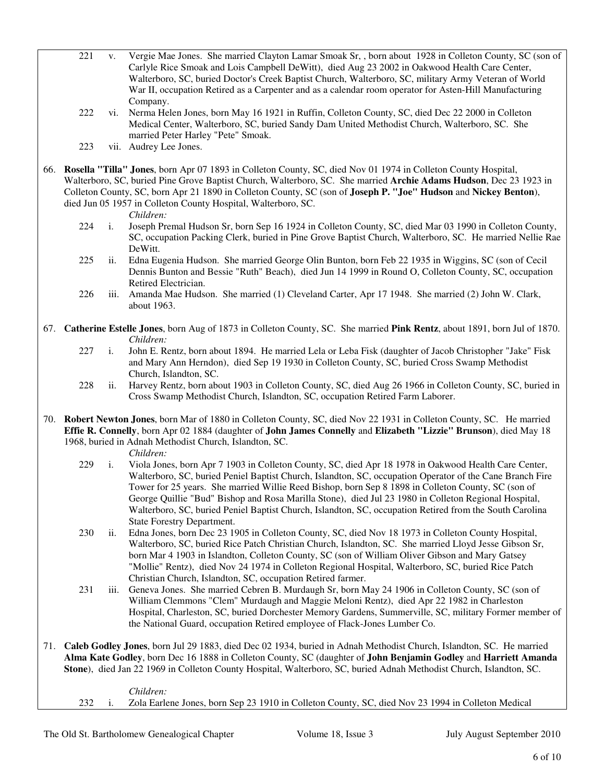- 221 v. Vergie Mae Jones. She married Clayton Lamar Smoak Sr, , born about 1928 in Colleton County, SC (son of Carlyle Rice Smoak and Lois Campbell DeWitt), died Aug 23 2002 in Oakwood Health Care Center, Walterboro, SC, buried Doctor's Creek Baptist Church, Walterboro, SC, military Army Veteran of World War II, occupation Retired as a Carpenter and as a calendar room operator for Asten-Hill Manufacturing Company.
- 222 vi. Nerma Helen Jones, born May 16 1921 in Ruffin, Colleton County, SC, died Dec 22 2000 in Colleton Medical Center, Walterboro, SC, buried Sandy Dam United Methodist Church, Walterboro, SC. She married Peter Harley "Pete" Smoak.
- 223 vii. Audrey Lee Jones.
- 66. **Rosella "Tilla" Jones**, born Apr 07 1893 in Colleton County, SC, died Nov 01 1974 in Colleton County Hospital, Walterboro, SC, buried Pine Grove Baptist Church, Walterboro, SC. She married **Archie Adams Hudson**, Dec 23 1923 in Colleton County, SC, born Apr 21 1890 in Colleton County, SC (son of **Joseph P. "Joe" Hudson** and **Nickey Benton**), died Jun 05 1957 in Colleton County Hospital, Walterboro, SC.

*Children:*

- 224 i. Joseph Premal Hudson Sr, born Sep 16 1924 in Colleton County, SC, died Mar 03 1990 in Colleton County, SC, occupation Packing Clerk, buried in Pine Grove Baptist Church, Walterboro, SC. He married Nellie Rae DeWitt.
- 225 ii. Edna Eugenia Hudson. She married George Olin Bunton, born Feb 22 1935 in Wiggins, SC (son of Cecil Dennis Bunton and Bessie "Ruth" Beach), died Jun 14 1999 in Round O, Colleton County, SC, occupation Retired Electrician.
- 226 iii. Amanda Mae Hudson. She married (1) Cleveland Carter, Apr 17 1948. She married (2) John W. Clark, about 1963.
- 67. **Catherine Estelle Jones**, born Aug of 1873 in Colleton County, SC. She married **Pink Rentz**, about 1891, born Jul of 1870. *Children:*
	- 227 i. John E. Rentz, born about 1894. He married Lela or Leba Fisk (daughter of Jacob Christopher "Jake" Fisk and Mary Ann Herndon), died Sep 19 1930 in Colleton County, SC, buried Cross Swamp Methodist Church, Islandton, SC.
	- 228 ii. Harvey Rentz, born about 1903 in Colleton County, SC, died Aug 26 1966 in Colleton County, SC, buried in Cross Swamp Methodist Church, Islandton, SC, occupation Retired Farm Laborer.
- 70. **Robert Newton Jones**, born Mar of 1880 in Colleton County, SC, died Nov 22 1931 in Colleton County, SC. He married **Effie R. Connelly**, born Apr 02 1884 (daughter of **John James Connelly** and **Elizabeth "Lizzie" Brunson**), died May 18 1968, buried in Adnah Methodist Church, Islandton, SC.
	- *Children:*
	- 229 i. Viola Jones, born Apr 7 1903 in Colleton County, SC, died Apr 18 1978 in Oakwood Health Care Center, Walterboro, SC, buried Peniel Baptist Church, Islandton, SC, occupation Operator of the Cane Branch Fire Tower for 25 years. She married Willie Reed Bishop, born Sep 8 1898 in Colleton County, SC (son of George Quillie "Bud" Bishop and Rosa Marilla Stone), died Jul 23 1980 in Colleton Regional Hospital, Walterboro, SC, buried Peniel Baptist Church, Islandton, SC, occupation Retired from the South Carolina State Forestry Department.
	- 230 ii. Edna Jones, born Dec 23 1905 in Colleton County, SC, died Nov 18 1973 in Colleton County Hospital, Walterboro, SC, buried Rice Patch Christian Church, Islandton, SC. She married Lloyd Jesse Gibson Sr, born Mar 4 1903 in Islandton, Colleton County, SC (son of William Oliver Gibson and Mary Gatsey "Mollie" Rentz), died Nov 24 1974 in Colleton Regional Hospital, Walterboro, SC, buried Rice Patch Christian Church, Islandton, SC, occupation Retired farmer.
	- 231 iii. Geneva Jones. She married Cebren B. Murdaugh Sr, born May 24 1906 in Colleton County, SC (son of William Clemmons "Clem" Murdaugh and Maggie Meloni Rentz), died Apr 22 1982 in Charleston Hospital, Charleston, SC, buried Dorchester Memory Gardens, Summerville, SC, military Former member of the National Guard, occupation Retired employee of Flack-Jones Lumber Co.
- 71. **Caleb Godley Jones**, born Jul 29 1883, died Dec 02 1934, buried in Adnah Methodist Church, Islandton, SC. He married **Alma Kate Godley**, born Dec 16 1888 in Colleton County, SC (daughter of **John Benjamin Godley** and **Harriett Amanda Stone**), died Jan 22 1969 in Colleton County Hospital, Walterboro, SC, buried Adnah Methodist Church, Islandton, SC.

 *Children:* 232 i. Zola Earlene Jones, born Sep 23 1910 in Colleton County, SC, died Nov 23 1994 in Colleton Medical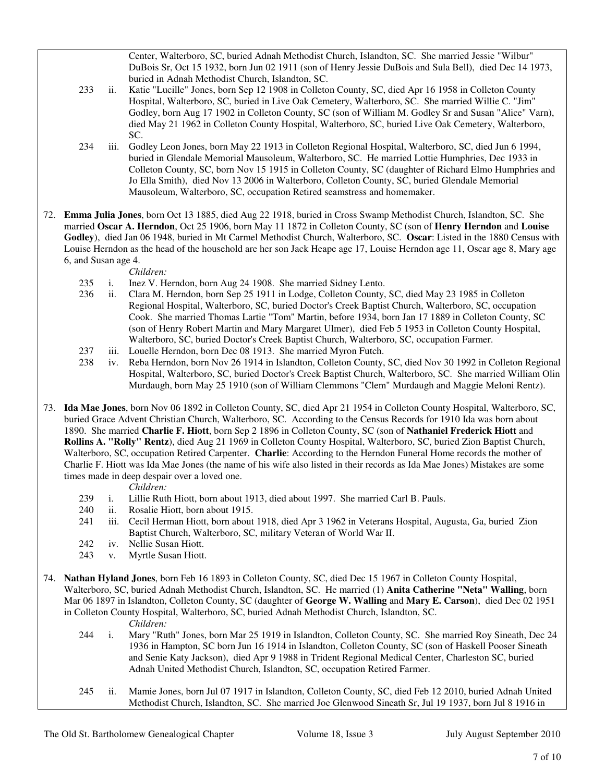Center, Walterboro, SC, buried Adnah Methodist Church, Islandton, SC. She married Jessie "Wilbur" DuBois Sr, Oct 15 1932, born Jun 02 1911 (son of Henry Jessie DuBois and Sula Bell), died Dec 14 1973, buried in Adnah Methodist Church, Islandton, SC.

- 233 ii. Katie "Lucille" Jones, born Sep 12 1908 in Colleton County, SC, died Apr 16 1958 in Colleton County Hospital, Walterboro, SC, buried in Live Oak Cemetery, Walterboro, SC. She married Willie C. "Jim" Godley, born Aug 17 1902 in Colleton County, SC (son of William M. Godley Sr and Susan "Alice" Varn), died May 21 1962 in Colleton County Hospital, Walterboro, SC, buried Live Oak Cemetery, Walterboro, SC.
- 234 iii. Godley Leon Jones, born May 22 1913 in Colleton Regional Hospital, Walterboro, SC, died Jun 6 1994, buried in Glendale Memorial Mausoleum, Walterboro, SC. He married Lottie Humphries, Dec 1933 in Colleton County, SC, born Nov 15 1915 in Colleton County, SC (daughter of Richard Elmo Humphries and Jo Ella Smith), died Nov 13 2006 in Walterboro, Colleton County, SC, buried Glendale Memorial Mausoleum, Walterboro, SC, occupation Retired seamstress and homemaker.
- 72. **Emma Julia Jones**, born Oct 13 1885, died Aug 22 1918, buried in Cross Swamp Methodist Church, Islandton, SC. She married **Oscar A. Herndon**, Oct 25 1906, born May 11 1872 in Colleton County, SC (son of **Henry Herndon** and **Louise Godley**), died Jan 06 1948, buried in Mt Carmel Methodist Church, Walterboro, SC. **Oscar**: Listed in the 1880 Census with Louise Herndon as the head of the household are her son Jack Heape age 17, Louise Herndon age 11, Oscar age 8, Mary age 6, and Susan age 4.

## *Children:*

- 235 i. Inez V. Herndon, born Aug 24 1908. She married Sidney Lento.
- 236 ii. Clara M. Herndon, born Sep 25 1911 in Lodge, Colleton County, SC, died May 23 1985 in Colleton Regional Hospital, Walterboro, SC, buried Doctor's Creek Baptist Church, Walterboro, SC, occupation Cook. She married Thomas Lartie "Tom" Martin, before 1934, born Jan 17 1889 in Colleton County, SC (son of Henry Robert Martin and Mary Margaret Ulmer), died Feb 5 1953 in Colleton County Hospital, Walterboro, SC, buried Doctor's Creek Baptist Church, Walterboro, SC, occupation Farmer.
- 237 iii. Louelle Herndon, born Dec 08 1913. She married Myron Futch.
- 238 iv. Reba Herndon, born Nov 26 1914 in Islandton, Colleton County, SC, died Nov 30 1992 in Colleton Regional Hospital, Walterboro, SC, buried Doctor's Creek Baptist Church, Walterboro, SC. She married William Olin Murdaugh, born May 25 1910 (son of William Clemmons "Clem" Murdaugh and Maggie Meloni Rentz).
- 73. **Ida Mae Jones**, born Nov 06 1892 in Colleton County, SC, died Apr 21 1954 in Colleton County Hospital, Walterboro, SC, buried Grace Advent Christian Church, Walterboro, SC. According to the Census Records for 1910 Ida was born about 1890. She married **Charlie F. Hiott**, born Sep 2 1896 in Colleton County, SC (son of **Nathaniel Frederick Hiott** and **Rollins A. "Rolly" Rentz**), died Aug 21 1969 in Colleton County Hospital, Walterboro, SC, buried Zion Baptist Church, Walterboro, SC, occupation Retired Carpenter. **Charlie**: According to the Herndon Funeral Home records the mother of Charlie F. Hiott was Ida Mae Jones (the name of his wife also listed in their records as Ida Mae Jones) Mistakes are some times made in deep despair over a loved one.

## *Children:*

- 239 i. Lillie Ruth Hiott, born about 1913, died about 1997. She married Carl B. Pauls.
- 240 ii. Rosalie Hiott, born about 1915.
- 241 iii. Cecil Herman Hiott, born about 1918, died Apr 3 1962 in Veterans Hospital, Augusta, Ga, buried Zion Baptist Church, Walterboro, SC, military Veteran of World War II.
- 242 iv. Nellie Susan Hiott.
- 243 v. Myrtle Susan Hiott.
- 74. **Nathan Hyland Jones**, born Feb 16 1893 in Colleton County, SC, died Dec 15 1967 in Colleton County Hospital, Walterboro, SC, buried Adnah Methodist Church, Islandton, SC. He married (1) **Anita Catherine "Neta" Walling**, born Mar 06 1897 in Islandton, Colleton County, SC (daughter of **George W. Walling** and **Mary E. Carson**), died Dec 02 1951 in Colleton County Hospital, Walterboro, SC, buried Adnah Methodist Church, Islandton, SC.

*Children:*

- 244 i. Mary "Ruth" Jones, born Mar 25 1919 in Islandton, Colleton County, SC. She married Roy Sineath, Dec 24 1936 in Hampton, SC born Jun 16 1914 in Islandton, Colleton County, SC (son of Haskell Pooser Sineath and Senie Katy Jackson), died Apr 9 1988 in Trident Regional Medical Center, Charleston SC, buried Adnah United Methodist Church, Islandton, SC, occupation Retired Farmer.
- 245 ii. Mamie Jones, born Jul 07 1917 in Islandton, Colleton County, SC, died Feb 12 2010, buried Adnah United Methodist Church, Islandton, SC. She married Joe Glenwood Sineath Sr, Jul 19 1937, born Jul 8 1916 in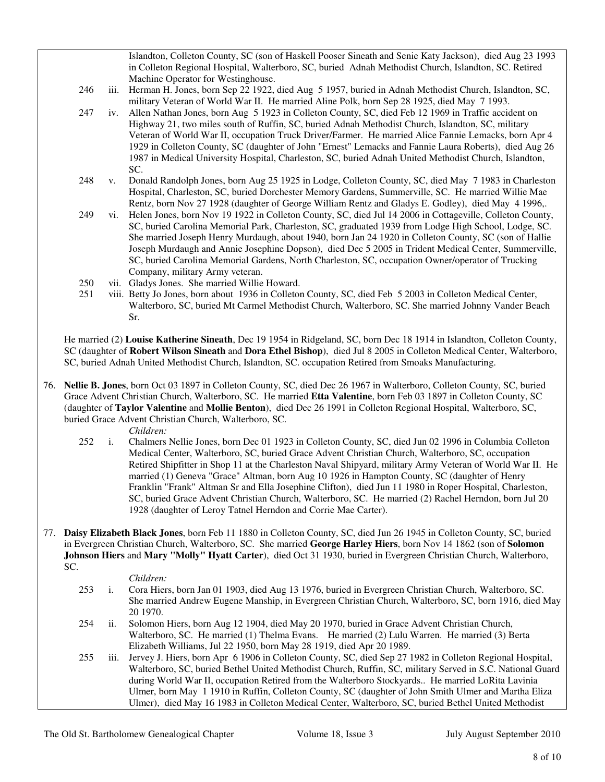Islandton, Colleton County, SC (son of Haskell Pooser Sineath and Senie Katy Jackson), died Aug 23 1993 in Colleton Regional Hospital, Walterboro, SC, buried Adnah Methodist Church, Islandton, SC. Retired Machine Operator for Westinghouse.

- 246 iii. Herman H. Jones, born Sep 22 1922, died Aug 5 1957, buried in Adnah Methodist Church, Islandton, SC, military Veteran of World War II. He married Aline Polk, born Sep 28 1925, died May 7 1993.
- 247 iv. Allen Nathan Jones, born Aug 5 1923 in Colleton County, SC, died Feb 12 1969 in Traffic accident on Highway 21, two miles south of Ruffin, SC, buried Adnah Methodist Church, Islandton, SC, military Veteran of World War II, occupation Truck Driver/Farmer. He married Alice Fannie Lemacks, born Apr 4 1929 in Colleton County, SC (daughter of John "Ernest" Lemacks and Fannie Laura Roberts), died Aug 26 1987 in Medical University Hospital, Charleston, SC, buried Adnah United Methodist Church, Islandton, SC.
- 248 v. Donald Randolph Jones, born Aug 25 1925 in Lodge, Colleton County, SC, died May 7 1983 in Charleston Hospital, Charleston, SC, buried Dorchester Memory Gardens, Summerville, SC. He married Willie Mae Rentz, born Nov 27 1928 (daughter of George William Rentz and Gladys E. Godley), died May 4 1996,.
- 249 vi. Helen Jones, born Nov 19 1922 in Colleton County, SC, died Jul 14 2006 in Cottageville, Colleton County, SC, buried Carolina Memorial Park, Charleston, SC, graduated 1939 from Lodge High School, Lodge, SC. She married Joseph Henry Murdaugh, about 1940, born Jan 24 1920 in Colleton County, SC (son of Hallie Joseph Murdaugh and Annie Josephine Dopson), died Dec 5 2005 in Trident Medical Center, Summerville, SC, buried Carolina Memorial Gardens, North Charleston, SC, occupation Owner/operator of Trucking Company, military Army veteran.
- 250 vii. Gladys Jones. She married Willie Howard.
- 251 viii. Betty Jo Jones, born about 1936 in Colleton County, SC, died Feb 5 2003 in Colleton Medical Center, Walterboro, SC, buried Mt Carmel Methodist Church, Walterboro, SC. She married Johnny Vander Beach Sr.

 He married (2) **Louise Katherine Sineath**, Dec 19 1954 in Ridgeland, SC, born Dec 18 1914 in Islandton, Colleton County, SC (daughter of **Robert Wilson Sineath** and **Dora Ethel Bishop**), died Jul 8 2005 in Colleton Medical Center, Walterboro, SC, buried Adnah United Methodist Church, Islandton, SC. occupation Retired from Smoaks Manufacturing.

- 76. **Nellie B. Jones**, born Oct 03 1897 in Colleton County, SC, died Dec 26 1967 in Walterboro, Colleton County, SC, buried Grace Advent Christian Church, Walterboro, SC. He married **Etta Valentine**, born Feb 03 1897 in Colleton County, SC (daughter of **Taylor Valentine** and **Mollie Benton**), died Dec 26 1991 in Colleton Regional Hospital, Walterboro, SC, buried Grace Advent Christian Church, Walterboro, SC.
	- *Children:*
	- 252 i. Chalmers Nellie Jones, born Dec 01 1923 in Colleton County, SC, died Jun 02 1996 in Columbia Colleton Medical Center, Walterboro, SC, buried Grace Advent Christian Church, Walterboro, SC, occupation Retired Shipfitter in Shop 11 at the Charleston Naval Shipyard, military Army Veteran of World War II. He married (1) Geneva "Grace" Altman, born Aug 10 1926 in Hampton County, SC (daughter of Henry Franklin "Frank" Altman Sr and Ella Josephine Clifton), died Jun 11 1980 in Roper Hospital, Charleston, SC, buried Grace Advent Christian Church, Walterboro, SC. He married (2) Rachel Herndon, born Jul 20 1928 (daughter of Leroy Tatnel Herndon and Corrie Mae Carter).
- 77. **Daisy Elizabeth Black Jones**, born Feb 11 1880 in Colleton County, SC, died Jun 26 1945 in Colleton County, SC, buried in Evergreen Christian Church, Walterboro, SC. She married **George Harley Hiers**, born Nov 14 1862 (son of **Solomon Johnson Hiers** and **Mary "Molly" Hyatt Carter**), died Oct 31 1930, buried in Evergreen Christian Church, Walterboro, SC.
	- *Children:*
	- 253 i. Cora Hiers, born Jan 01 1903, died Aug 13 1976, buried in Evergreen Christian Church, Walterboro, SC. She married Andrew Eugene Manship, in Evergreen Christian Church, Walterboro, SC, born 1916, died May 20 1970.
	- 254 ii. Solomon Hiers, born Aug 12 1904, died May 20 1970, buried in Grace Advent Christian Church, Walterboro, SC. He married (1) Thelma Evans. He married (2) Lulu Warren. He married (3) Berta Elizabeth Williams, Jul 22 1950, born May 28 1919, died Apr 20 1989.
	- 255 iii. Jervey J. Hiers, born Apr 6 1906 in Colleton County, SC, died Sep 27 1982 in Colleton Regional Hospital, Walterboro, SC, buried Bethel United Methodist Church, Ruffin, SC, military Served in S.C. National Guard during World War II, occupation Retired from the Walterboro Stockyards.. He married LoRita Lavinia Ulmer, born May 1 1910 in Ruffin, Colleton County, SC (daughter of John Smith Ulmer and Martha Eliza Ulmer), died May 16 1983 in Colleton Medical Center, Walterboro, SC, buried Bethel United Methodist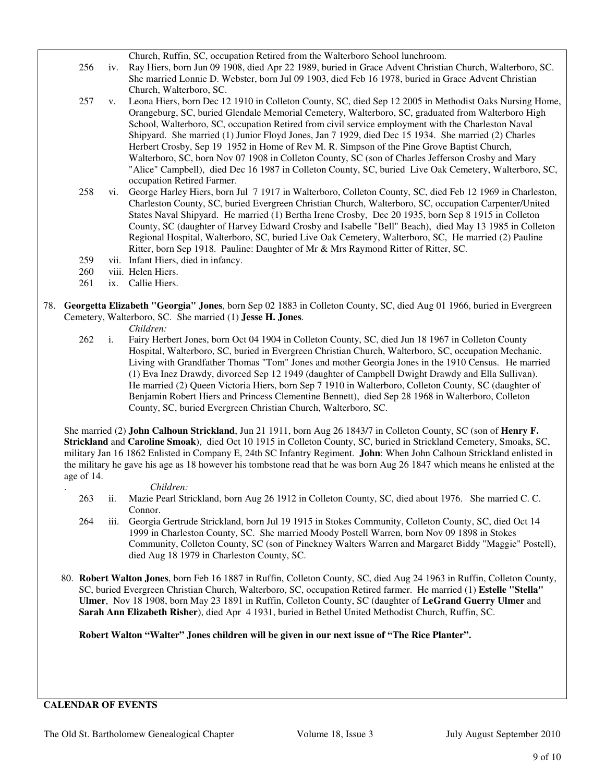Church, Ruffin, SC, occupation Retired from the Walterboro School lunchroom.

- 256 iv. Ray Hiers, born Jun 09 1908, died Apr 22 1989, buried in Grace Advent Christian Church, Walterboro, SC. She married Lonnie D. Webster, born Jul 09 1903, died Feb 16 1978, buried in Grace Advent Christian Church, Walterboro, SC.
- 257 v. Leona Hiers, born Dec 12 1910 in Colleton County, SC, died Sep 12 2005 in Methodist Oaks Nursing Home, Orangeburg, SC, buried Glendale Memorial Cemetery, Walterboro, SC, graduated from Walterboro High School, Walterboro, SC, occupation Retired from civil service employment with the Charleston Naval Shipyard. She married (1) Junior Floyd Jones, Jan 7 1929, died Dec 15 1934. She married (2) Charles Herbert Crosby, Sep 19 1952 in Home of Rev M. R. Simpson of the Pine Grove Baptist Church, Walterboro, SC, born Nov 07 1908 in Colleton County, SC (son of Charles Jefferson Crosby and Mary "Alice" Campbell), died Dec 16 1987 in Colleton County, SC, buried Live Oak Cemetery, Walterboro, SC, occupation Retired Farmer.
- 258 vi. George Harley Hiers, born Jul 7 1917 in Walterboro, Colleton County, SC, died Feb 12 1969 in Charleston, Charleston County, SC, buried Evergreen Christian Church, Walterboro, SC, occupation Carpenter/United States Naval Shipyard. He married (1) Bertha Irene Crosby, Dec 20 1935, born Sep 8 1915 in Colleton County, SC (daughter of Harvey Edward Crosby and Isabelle "Bell" Beach), died May 13 1985 in Colleton Regional Hospital, Walterboro, SC, buried Live Oak Cemetery, Walterboro, SC, He married (2) Pauline Ritter, born Sep 1918. Pauline: Daughter of Mr & Mrs Raymond Ritter of Ritter, SC.
- 259 vii. Infant Hiers, died in infancy.
- 260 viii. Helen Hiers.
- 261 ix. Callie Hiers.
- 78. **Georgetta Elizabeth "Georgia" Jones**, born Sep 02 1883 in Colleton County, SC, died Aug 01 1966, buried in Evergreen Cemetery, Walterboro, SC. She married (1) **Jesse H. Jones**.
	- *Children:*
	- 262 i. Fairy Herbert Jones, born Oct 04 1904 in Colleton County, SC, died Jun 18 1967 in Colleton County Hospital, Walterboro, SC, buried in Evergreen Christian Church, Walterboro, SC, occupation Mechanic. Living with Grandfather Thomas "Tom" Jones and mother Georgia Jones in the 1910 Census. He married (1) Eva Inez Drawdy, divorced Sep 12 1949 (daughter of Campbell Dwight Drawdy and Ella Sullivan). He married (2) Queen Victoria Hiers, born Sep 7 1910 in Walterboro, Colleton County, SC (daughter of Benjamin Robert Hiers and Princess Clementine Bennett), died Sep 28 1968 in Walterboro, Colleton County, SC, buried Evergreen Christian Church, Walterboro, SC.

 She married (2) **John Calhoun Strickland**, Jun 21 1911, born Aug 26 1843/7 in Colleton County, SC (son of **Henry F. Strickland** and **Caroline Smoak**), died Oct 10 1915 in Colleton County, SC, buried in Strickland Cemetery, Smoaks, SC, military Jan 16 1862 Enlisted in Company E, 24th SC Infantry Regiment. **John**: When John Calhoun Strickland enlisted in the military he gave his age as 18 however his tombstone read that he was born Aug 26 1847 which means he enlisted at the age of 14.

## . *Children:*

- 263 ii. Mazie Pearl Strickland, born Aug 26 1912 in Colleton County, SC, died about 1976. She married C. C. Connor.
- 264 iii. Georgia Gertrude Strickland, born Jul 19 1915 in Stokes Community, Colleton County, SC, died Oct 14 1999 in Charleston County, SC. She married Moody Postell Warren, born Nov 09 1898 in Stokes Community, Colleton County, SC (son of Pinckney Walters Warren and Margaret Biddy "Maggie" Postell), died Aug 18 1979 in Charleston County, SC.
- 80. **Robert Walton Jones**, born Feb 16 1887 in Ruffin, Colleton County, SC, died Aug 24 1963 in Ruffin, Colleton County, SC, buried Evergreen Christian Church, Walterboro, SC, occupation Retired farmer. He married (1) **Estelle "Stella" Ulmer**, Nov 18 1908, born May 23 1891 in Ruffin, Colleton County, SC (daughter of **LeGrand Guerry Ulmer** and **Sarah Ann Elizabeth Risher**), died Apr 4 1931, buried in Bethel United Methodist Church, Ruffin, SC.

**Robert Walton "Walter" Jones children will be given in our next issue of "The Rice Planter".** 

## **CALENDAR OF EVENTS**